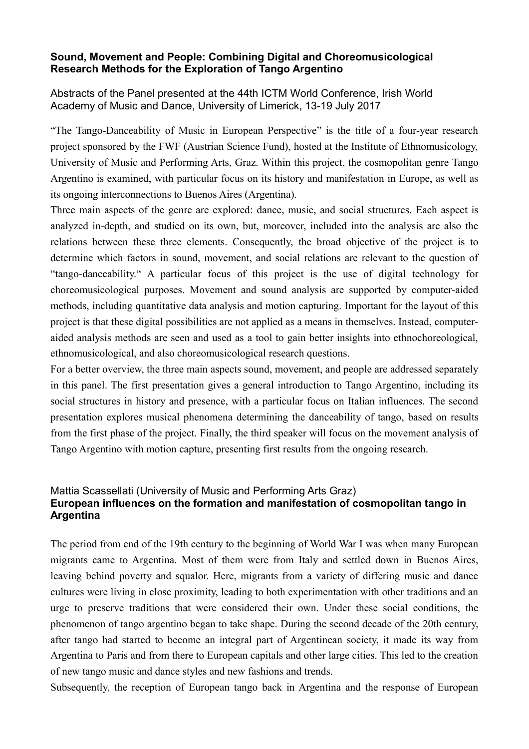## **Sound, Movement and People: Combining Digital and Choreomusicological Research Methods for the Exploration of Tango Argentino**

Abstracts of the Panel presented at the 44th ICTM World Conference, Irish World Academy of Music and Dance, University of Limerick, 13-19 July 2017

"The Tango-Danceability of Music in European Perspective" is the title of a four-year research project sponsored by the FWF (Austrian Science Fund), hosted at the Institute of Ethnomusicology, University of Music and Performing Arts, Graz. Within this project, the cosmopolitan genre Tango Argentino is examined, with particular focus on its history and manifestation in Europe, as well as its ongoing interconnections to Buenos Aires (Argentina).

Three main aspects of the genre are explored: dance, music, and social structures. Each aspect is analyzed in-depth, and studied on its own, but, moreover, included into the analysis are also the relations between these three elements. Consequently, the broad objective of the project is to determine which factors in sound, movement, and social relations are relevant to the question of "tango-danceability." A particular focus of this project is the use of digital technology for choreomusicological purposes. Movement and sound analysis are supported by computer-aided methods, including quantitative data analysis and motion capturing. Important for the layout of this project is that these digital possibilities are not applied as a means in themselves. Instead, computeraided analysis methods are seen and used as a tool to gain better insights into ethnochoreological, ethnomusicological, and also choreomusicological research questions.

For a better overview, the three main aspects sound, movement, and people are addressed separately in this panel. The first presentation gives a general introduction to Tango Argentino, including its social structures in history and presence, with a particular focus on Italian influences. The second presentation explores musical phenomena determining the danceability of tango, based on results from the first phase of the project. Finally, the third speaker will focus on the movement analysis of Tango Argentino with motion capture, presenting first results from the ongoing research.

## Mattia Scassellati (University of Music and Performing Arts Graz) **European influences on the formation and manifestation of cosmopolitan tango in Argentina**

The period from end of the 19th century to the beginning of World War I was when many European migrants came to Argentina. Most of them were from Italy and settled down in Buenos Aires, leaving behind poverty and squalor. Here, migrants from a variety of differing music and dance cultures were living in close proximity, leading to both experimentation with other traditions and an urge to preserve traditions that were considered their own. Under these social conditions, the phenomenon of tango argentino began to take shape. During the second decade of the 20th century, after tango had started to become an integral part of Argentinean society, it made its way from Argentina to Paris and from there to European capitals and other large cities. This led to the creation of new tango music and dance styles and new fashions and trends.

Subsequently, the reception of European tango back in Argentina and the response of European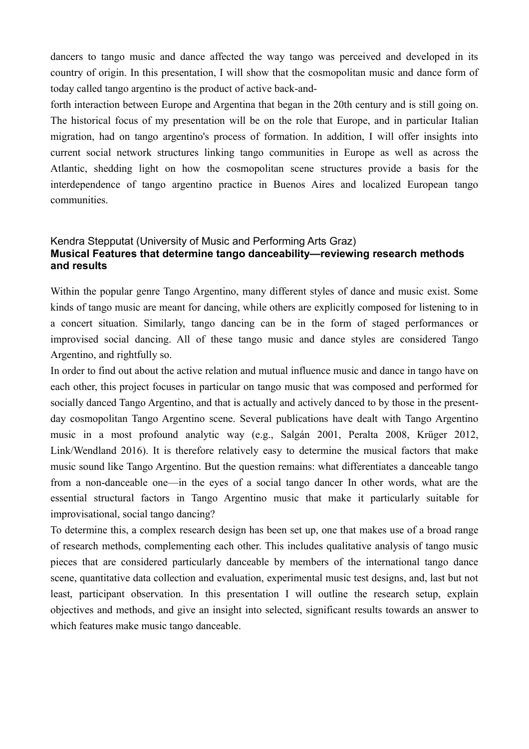dancers to tango music and dance affected the way tango was perceived and developed in its country of origin. In this presentation, I will show that the cosmopolitan music and dance form of today called tango argentino is the product of active back-and-

forth interaction between Europe and Argentina that began in the 20th century and is still going on. The historical focus of my presentation will be on the role that Europe, and in particular Italian migration, had on tango argentino's process of formation. In addition, I will offer insights into current social network structures linking tango communities in Europe as well as across the Atlantic, shedding light on how the cosmopolitan scene structures provide a basis for the interdependence of tango argentino practice in Buenos Aires and localized European tango communities.

## Kendra Stepputat (University of Music and Performing Arts Graz) **Musical Features that determine tango danceability—reviewing research methods and results**

Within the popular genre Tango Argentino, many different styles of dance and music exist. Some kinds of tango music are meant for dancing, while others are explicitly composed for listening to in a concert situation. Similarly, tango dancing can be in the form of staged performances or improvised social dancing. All of these tango music and dance styles are considered Tango Argentino, and rightfully so.

In order to find out about the active relation and mutual influence music and dance in tango have on each other, this project focuses in particular on tango music that was composed and performed for socially danced Tango Argentino, and that is actually and actively danced to by those in the presentday cosmopolitan Tango Argentino scene. Several publications have dealt with Tango Argentino music in a most profound analytic way (e.g., Salgán 2001, Peralta 2008, Krüger 2012, Link/Wendland 2016). It is therefore relatively easy to determine the musical factors that make music sound like Tango Argentino. But the question remains: what differentiates a danceable tango from a non-danceable one—in the eyes of a social tango dancer In other words, what are the essential structural factors in Tango Argentino music that make it particularly suitable for improvisational, social tango dancing?

To determine this, a complex research design has been set up, one that makes use of a broad range of research methods, complementing each other. This includes qualitative analysis of tango music pieces that are considered particularly danceable by members of the international tango dance scene, quantitative data collection and evaluation, experimental music test designs, and, last but not least, participant observation. In this presentation I will outline the research setup, explain objectives and methods, and give an insight into selected, significant results towards an answer to which features make music tango danceable.